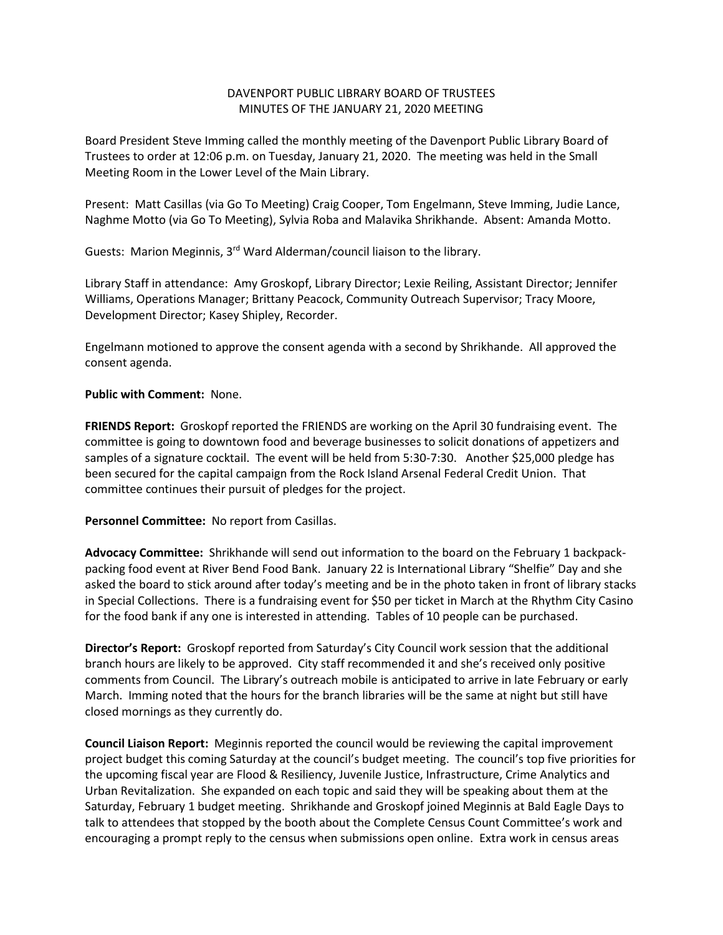## DAVENPORT PUBLIC LIBRARY BOARD OF TRUSTEES MINUTES OF THE JANUARY 21, 2020 MEETING

Board President Steve Imming called the monthly meeting of the Davenport Public Library Board of Trustees to order at 12:06 p.m. on Tuesday, January 21, 2020. The meeting was held in the Small Meeting Room in the Lower Level of the Main Library.

Present: Matt Casillas (via Go To Meeting) Craig Cooper, Tom Engelmann, Steve Imming, Judie Lance, Naghme Motto (via Go To Meeting), Sylvia Roba and Malavika Shrikhande. Absent: Amanda Motto.

Guests: Marion Meginnis, 3<sup>rd</sup> Ward Alderman/council liaison to the library.

Library Staff in attendance: Amy Groskopf, Library Director; Lexie Reiling, Assistant Director; Jennifer Williams, Operations Manager; Brittany Peacock, Community Outreach Supervisor; Tracy Moore, Development Director; Kasey Shipley, Recorder.

Engelmann motioned to approve the consent agenda with a second by Shrikhande. All approved the consent agenda.

## **Public with Comment:** None.

**FRIENDS Report:** Groskopf reported the FRIENDS are working on the April 30 fundraising event. The committee is going to downtown food and beverage businesses to solicit donations of appetizers and samples of a signature cocktail. The event will be held from 5:30-7:30. Another \$25,000 pledge has been secured for the capital campaign from the Rock Island Arsenal Federal Credit Union. That committee continues their pursuit of pledges for the project.

## **Personnel Committee:** No report from Casillas.

**Advocacy Committee:** Shrikhande will send out information to the board on the February 1 backpackpacking food event at River Bend Food Bank. January 22 is International Library "Shelfie" Day and she asked the board to stick around after today's meeting and be in the photo taken in front of library stacks in Special Collections. There is a fundraising event for \$50 per ticket in March at the Rhythm City Casino for the food bank if any one is interested in attending. Tables of 10 people can be purchased.

**Director's Report:** Groskopf reported from Saturday's City Council work session that the additional branch hours are likely to be approved. City staff recommended it and she's received only positive comments from Council. The Library's outreach mobile is anticipated to arrive in late February or early March. Imming noted that the hours for the branch libraries will be the same at night but still have closed mornings as they currently do.

**Council Liaison Report:** Meginnis reported the council would be reviewing the capital improvement project budget this coming Saturday at the council's budget meeting. The council's top five priorities for the upcoming fiscal year are Flood & Resiliency, Juvenile Justice, Infrastructure, Crime Analytics and Urban Revitalization. She expanded on each topic and said they will be speaking about them at the Saturday, February 1 budget meeting. Shrikhande and Groskopf joined Meginnis at Bald Eagle Days to talk to attendees that stopped by the booth about the Complete Census Count Committee's work and encouraging a prompt reply to the census when submissions open online. Extra work in census areas